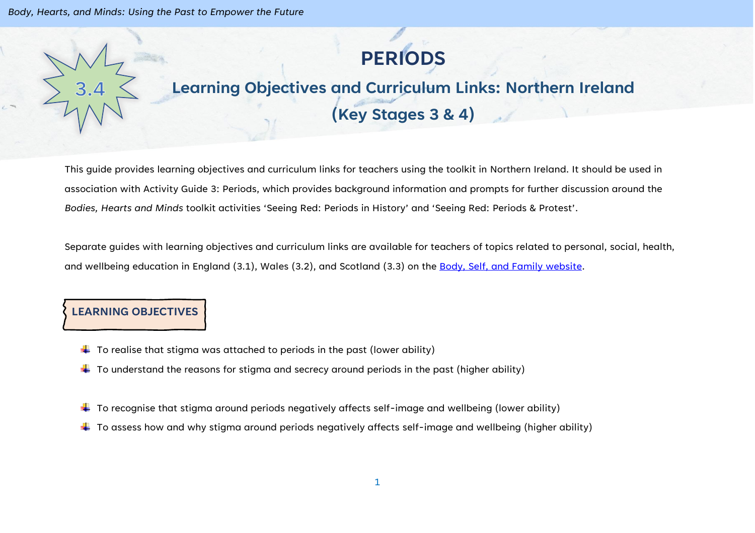# **PERIODS**

## **Learning Objectives and Curriculum Links: Northern Ireland (Key Stages 3 & 4)**

This guide provides learning objectives and curriculum links for teachers using the toolkit in Northern Ireland. It should be used in association with Activity Guide 3: Periods, which provides background information and prompts for further discussion around the *Bodies, Hearts and Minds* toolkit activities 'Seeing Red: Periods in History' and 'Seeing Red: Periods & Protest'.

Separate guides with learning objectives and curriculum links are available for teachers of topics related to personal, social, health, and wellbeing education in England (3.1), Wales (3.2), and Scotland (3.3) on the [Body, Self, and Family website.](https://bodyselffamily.org/)

#### **LEARNING OBJECTIVES**

- $\downarrow$  To realise that stigma was attached to periods in the past (lower ability)
- $\downarrow$  To understand the reasons for stigma and secrecy around periods in the past (higher ability)
- $\ddotplus$  To recognise that stigma around periods negatively affects self-image and wellbeing (lower ability)
- $\ddotplus$  To assess how and why stigma around periods negatively affects self-image and wellbeing (higher ability)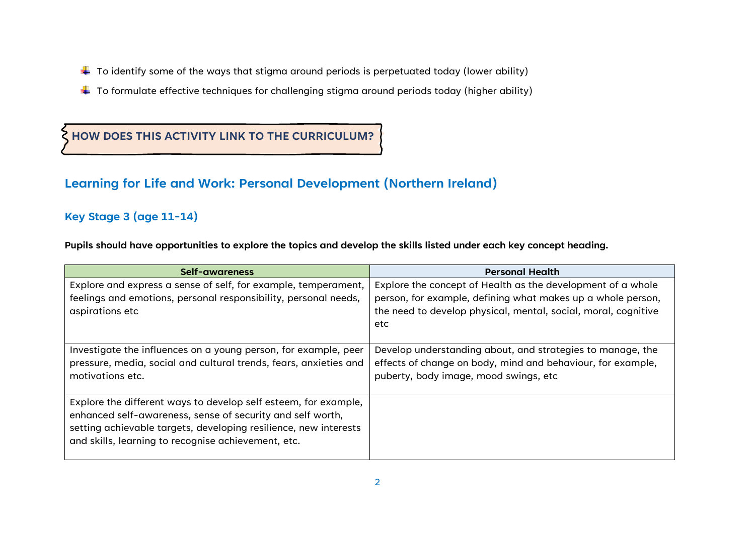- $\downarrow$  To identify some of the ways that stigma around periods is perpetuated today (lower ability)
- $\ddotplus$  To formulate effective techniques for challenging stigma around periods today (higher ability)

## **HOW DOES THIS ACTIVITY LINK TO THE CURRICULUM?**

### **Learning for Life and Work: Personal Development (Northern Ireland)**

#### **Key Stage 3 (age 11-14)**

**Pupils should have opportunities to explore the topics and develop the skills listed under each key concept heading.**

| Self-awareness                                                                                                                                                                                                                                           | <b>Personal Health</b>                                                                                                                                                                              |
|----------------------------------------------------------------------------------------------------------------------------------------------------------------------------------------------------------------------------------------------------------|-----------------------------------------------------------------------------------------------------------------------------------------------------------------------------------------------------|
| Explore and express a sense of self, for example, temperament,<br>feelings and emotions, personal responsibility, personal needs,<br>aspirations etc                                                                                                     | Explore the concept of Health as the development of a whole<br>person, for example, defining what makes up a whole person,<br>the need to develop physical, mental, social, moral, cognitive<br>etc |
| Investigate the influences on a young person, for example, peer<br>pressure, media, social and cultural trends, fears, anxieties and<br>motivations etc.                                                                                                 | Develop understanding about, and strategies to manage, the<br>effects of change on body, mind and behaviour, for example,<br>puberty, body image, mood swings, etc                                  |
| Explore the different ways to develop self esteem, for example,<br>enhanced self-awareness, sense of security and self worth,<br>setting achievable targets, developing resilience, new interests<br>and skills, learning to recognise achievement, etc. |                                                                                                                                                                                                     |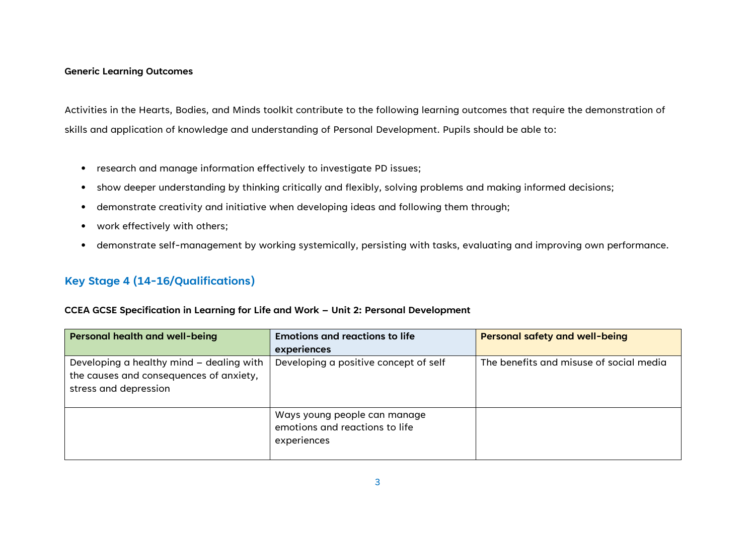#### **Generic Learning Outcomes**

Activities in the Hearts, Bodies, and Minds toolkit contribute to the following learning outcomes that require the demonstration of skills and application of knowledge and understanding of Personal Development. Pupils should be able to:

- research and manage information effectively to investigate PD issues;
- show deeper understanding by thinking critically and flexibly, solving problems and making informed decisions;
- demonstrate creativity and initiative when developing ideas and following them through;
- work effectively with others;
- demonstrate self-management by working systemically, persisting with tasks, evaluating and improving own performance.

#### **Key Stage 4 (14-16/Qualifications)**

#### **CCEA GCSE Specification in Learning for Life and Work – Unit 2: Personal Development**

| <b>Personal health and well-being</b>                                                                        | <b>Emotions and reactions to life</b>                                         | <b>Personal safety and well-being</b>   |
|--------------------------------------------------------------------------------------------------------------|-------------------------------------------------------------------------------|-----------------------------------------|
|                                                                                                              | experiences                                                                   |                                         |
| Developing a healthy mind - dealing with<br>the causes and consequences of anxiety,<br>stress and depression | Developing a positive concept of self                                         | The benefits and misuse of social media |
|                                                                                                              | Ways young people can manage<br>emotions and reactions to life<br>experiences |                                         |